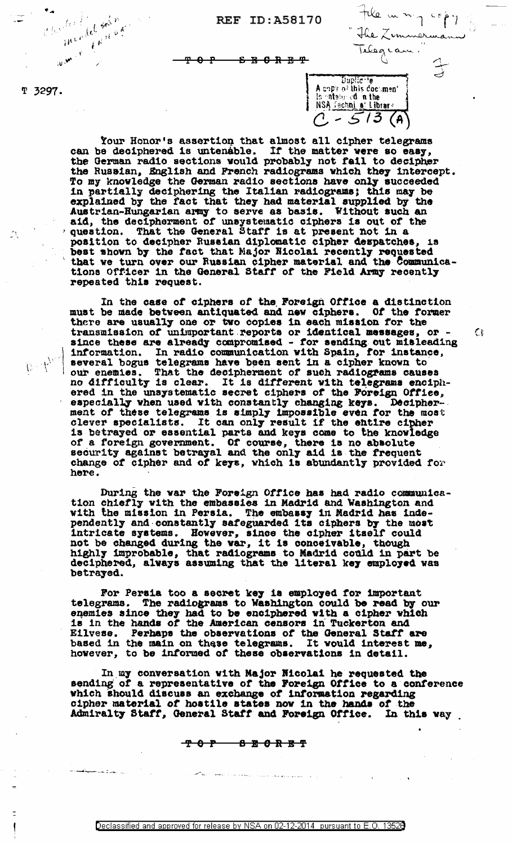File in mig copy<br>The Zemmermann<br>Telegram." A copy of this document

 $\mathbb{C}$ 

 $\frac{1}{15}$  ataly of in the<br>NSA (schni all Library<br> $C = 5/3$  (A

T 3297.

 $\mathcal{L}_{\mathbf{S}}$ 

mendel solm

mended red n.

 $e^{\int_{\Omega} \left(t\right)^{\frac{1}{2}x}}$ 

<del>ይ E C R E T</del> ⊕ ᅮ

Your Honor's assertion that almost all cipher telegrams se deciphered is untenable. If the matter were so easy, can be deciphered is untenable. If the matter were so easy, the German radio sections would probably not fail to decipher the Russian, English and French radiograms which they intercept. To my knowledge the German radio sections have only succeeded To my knowledge the dermain radio sections have only successed<br>in partially deciphering the Italian radiograms; this may be<br>explained by the fact that they had material supplied by the<br>Austrian-Eungarian army to serve as b 18 best shown by the fact that Major Nicolai recently requested<br>that we turn over our Russian cipher material and the Communications Officer in the General Staff of the Field Army recently repeated this request.

In the case of ciphers of the Foreign Office a distinction must be made between antiquated and new ciphers. Of the former there are usually one or two copies in each mission for the transmission of unimportant reports or identical messages, or - since these are already compromised - for sending out misleading information. In radio communication with Spain, for instance, several bogus telegrams have been sent in a cipher known to<br>our enemies. That the decipherment of such radiograms causes<br>no difficulty is clear. It is different with telegrams enciph-<br>ered in the unsystematic secret cipher especially when used with constantly changing keys. Decipherment of these telegrams is simply impossible even for the most clever specialists. It can only result if the entire cipher<br>is betrayed or essential parts and keys come to the knowledge of a foreign government. Of course, there is no absolute security against betrayal and the only aid is the frequent change of cipher and of keys, which is abundantly provided for here.

During the war the Foreign Office has had radio communication chiefly with the embassies in Madrid and Washington and with the mission in Persia. The embassy in Madrid has inde-<br>pendently and constantly safeguarded its ciphers by the most<br>intricate systems. However, since the cipher itself could<br>not be changed during the war, it is concei highly improbable, that radiograms to Madrid could in part be deciphered, always assuming that the literal key employed was betrayed.

For Persia too a secret key is employed for important telegrams. The radiograms to Washington could be read by our enemies since they had to be enciphered with a cipher which<br>is in the hands of the American censors in Tuckerton and Eilvese. Perhaps the observations of the General Staff are based in the main on these telegrams. It would interest me however, to be informed of these observations in detail. It would interest me,

In my conversation with Major Micolai he requested the sending of a representative of the Foreign Office to a conference which should discuss an exchange of information regarding cipher material of hostile states now in the hands of the Admiralty Staff, General Staff and Foreign Office. In this way

$$
\begin{array}{cc}\nT & 0 & T \\
\hline\nT & 0 & T\n\end{array}\n\qquad\n\begin{array}{cc}\nB & B & 0 & R \\
\hline\nB & 0 & R\n\end{array}\n\qquad\n\begin{array}{cc}\nB & T \\
\hline\nB & T\n\end{array}
$$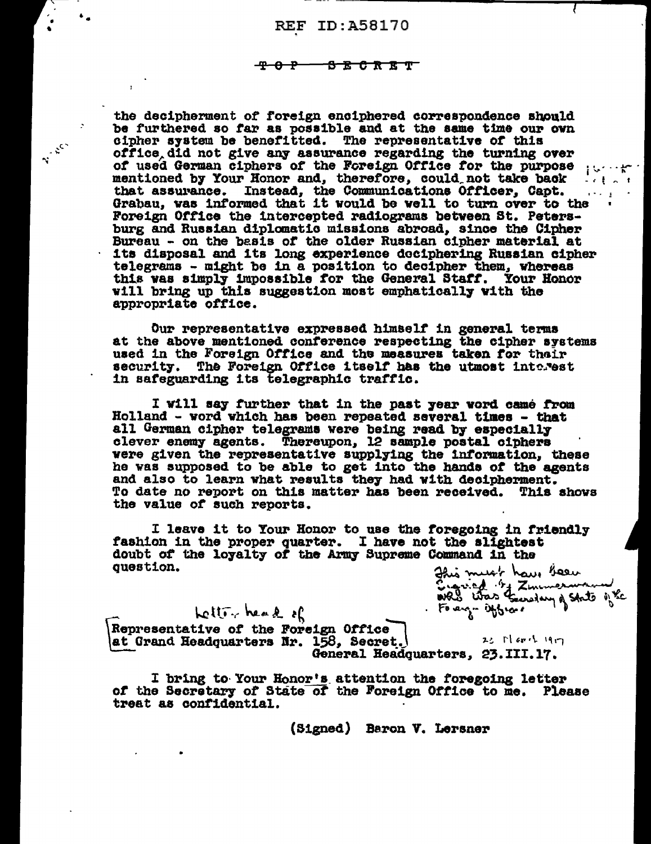#### <del>-8 B C R B T T</del> <del>40 p</del>

 $\ddot{\phantom{a}}$ 

Ville Res

the decipherment of foreign enciphered correspondence should be furthered so far as possible and at the same time our own cipher system be benefitted. The representative of this office did not give any assurance regarding the turning over of used German ciphers of the Foreign Office for the purpose  $\cdots$ that assurance. Instead, the Communications Officer, Capt.  $\alpha\sim\alpha$ Grabau, was informed that it would be well to turn over to the Foreign Office the intercepted radiograms between St. Petersburg and Russian diplomatic missions abroad, since the Cipher Bureau - on the basis of the older Russian cipher material at the disposal and its long experience deciphering Russian cipher telegrams - might be in a position to decipher them, whereas this was simply impossible for the General Staff. Your Honor will bring up this suggestion most emphatically with the appropriate office.

Our representative expressed himself in general terms at the above mentioned conference respecting the cipher systems used in the Foreign Office and the measures taken for their security. The Foreign Office itself has the utmost interest in safeguarding its telegraphic traffic.

I will say further that in the past year word came from Holland - word which has been repeated several times - that all German cipher telegrams were being read by especially clever enemy agents. Thereupon, 12 sample postal ciphers were given the representative supplying the information, these he was supposed to be able to get into the hands of the agents and also to learn what results they had with decipherment. To date no report on this matter has been received. This shows the value of such reports.

I leave it to Your Honor to use the foregoing in friendly fashion in the proper quarter. I have not the slightest doubt of the loyalty of the Army Supreme Command in the question.

Jhis must have been<br>Ergried by Zminermann<br>1985 thas Generary of State of the

Letter head of Representative of the Foreign Office 23 March 1917 at Grand Headquarters Nr. 158, Secret. General Headquarters, 23.III.17.

I bring to Your Honor's attention the foregoing letter of the Secretary of State of the Foreign Office to me. Please treat as confidential.

(Signed) Baron V. Lersner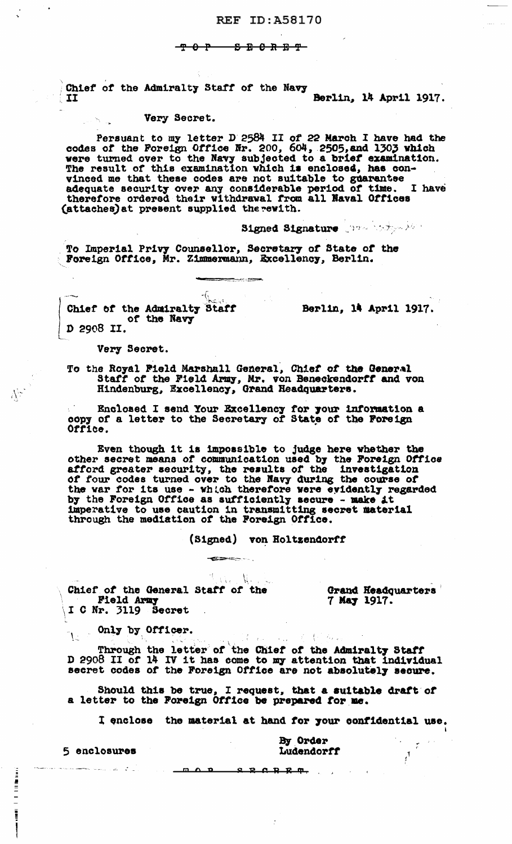### <del>- 8 E 0 R B T -</del>

Chief of the Admiralty Staff of the Navy Berlin, 14 April 1917.  $\mathbf{I}$ 

## Very Secret.

ن الح<sup>ر</sup>ات

Persuant to my letter D 2584 II of 22 March I have had the codes of the Foreign Office Nr. 200, 604, 2505, and 1303 which were turned over to the Navy subjected to a brief examination. The result of this examination which vinced me that these codes are not suitable to guarantse adequate security over any considerable period of time. I have therefore ordered their withdrawal from all Naval Offices (attaches) at present supplied the rewith.

Signed Signature when the same

To Imperial Privy Counsellor, Secretary of State of the Foreign Office, Mr. Zimmermann, Excellency, Berlin.

-(أ Chief of the Admiralty Staff of the Navy D 2908 II.

Berlin, 14 April 1917.

Very Secret.

 $\sum_{i=1}^{n} \sum_{j=1}^{n} \frac{1}{j} \sum_{i=1}^{n} \frac{1}{j} \sum_{j=1}^{n} \frac{1}{j} \sum_{j=1}^{n} \frac{1}{j} \sum_{j=1}^{n} \frac{1}{j} \sum_{j=1}^{n} \frac{1}{j} \sum_{j=1}^{n} \frac{1}{j} \sum_{j=1}^{n} \frac{1}{j} \sum_{j=1}^{n} \frac{1}{j} \sum_{j=1}^{n} \frac{1}{j} \sum_{j=1}^{n} \frac{1}{j} \sum_{j=1}^{n} \frac{1}{j} \sum_{j=1$ 

 $\begin{aligned} \mathbf{L} &= \mathbf{L} \mathbf{L} \mathbf{L} \mathbf{L} \mathbf{L} \mathbf{L} \mathbf{L} \mathbf{L} \mathbf{L} \mathbf{L} \mathbf{L} \mathbf{L} \mathbf{L} \mathbf{L} \mathbf{L} \mathbf{L} \mathbf{L} \mathbf{L} \mathbf{L} \mathbf{L} \mathbf{L} \mathbf{L} \mathbf{L} \mathbf{L} \mathbf{L} \mathbf{L} \mathbf{L} \mathbf{L} \mathbf{L} \mathbf{L} \mathbf{L} \mathbf{L} \mathbf{L} \mathbf{L} \$ 

<u>s</u>

To the Royal Field Marshall General, Chief of the General Staff of the Field Army, Mr. von Beneckendorff and von Hindenburg, Excellency, Grand Headquarters.

Enclosed I send Your Excellency for your information a copy of a letter to the Secretary of State of the Foreign Office.

Even though it is impossible to judge here whether the other secret means of communication used by the Foreign Office afford greater security, the results of the investigation<br>of four codes turned over to the Navy during the course of<br>the war for its use - which therefore were evidently regarded<br>by the Foreign Office as sufficiently secur imperative to use caution in transmitting secret material through the mediation of the Foreign Office.

 $\blacksquare$ 

(Signed) von Holtzendorff

The News Chief of the General Staff of the Field Army I C Nr. 3119 Secret

Grand Headquarters 7 May 1917.

Only by Officer.

Through the letter of the Chief of the Admiralty Staff D 2908 II of 14 IV it has come to my attention that individual<br>secret codes of the Foreign Office are not absolutely secure.

Should this be true, I request, that a suitable draft of a letter to the Foreign Office be prepared for me.

moo sechee .

I enclose the material at hand for your confidential use.

The Common State

5 enclosures

By Order Ludendorff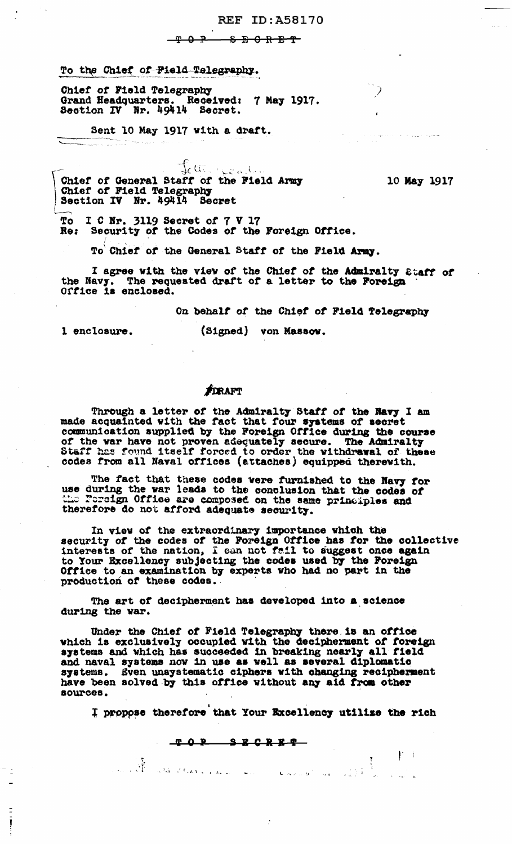### <del>ዋ ፀ ፆ</del> <del>ዌ E C E E C</del>

### To the Chief of Field Telegraphy.

Chief of Field Telegraphy<br>Grand Headquarters. Received: 7 May 1917. Section IV Nr. 49414 Secret.

Sent 10 May 1917 with a draft.

Jette jeal. Chief of General Staff of the Field Army<br>Chief of Field Telegraphy<br>Section IV Nr. 49414 Secret

10 May 1917

 $\mathbb{P}^{\mathbb{C}}$ 

To I C Nr. 3119 Secret of 7 V 17<br>Re: Security of the Codes of the Foreign Office.

To Chief of the General Staff of the Field Army.

I agree with the view of the Chief of the Admiralty Staff of the Navy. The requested draft of a letter to the Foreign Office is enclosed.

On behalf of the Chief of Field Telegraphy

1 enclosure.

ļ

**contract the component of the component of the component of the component of the component of the component of**<br>The component of the component of the component of the component of the component of the component of the com

(Signed) von Massow.

# FORAFT

Through a letter of the Admiralty Staff of the Navy I am<br>made acquainted with the fact that four systems of secret<br>communication supplied by the Foreign Office during the course of the war have not proven adequately secure. The Admiralty Staff has found itself forced to order the withdrawal of these codes from all Naval offices (attaches) equipped therewith.

The fact that these codes were furnished to the Navy for<br>use during the war leads to the conclusion that the codes of<br>the Foreign Office are composed on the same principles and therefore do not afford adequate security.

In view of the extraordinary importance which the security of the codes of the Foreign Office has for the collective interests of the nation, I can not fail to suggest once again to Your Excellency subjecting the codes used by the Foreign Office to an examination by experts who had no part in the production of these codes.

The art of decipherment has developed into a science during the war.

Under the Chief of Field Telegraphy there is an office<br>which is exclusively occupied with the decipherment of foreign<br>systems and which has succeeded in breaking nearly all field and naval systems now in use as well as several diplomatic systems. Even unsystematic ciphers with changing recipherment have been solved by this office without any aid from other sources.

I propose therefore that Your Excellency utilize the rich

را المحل التي التي تعليم المعلم المحل المحل المحل المحل المحل المحل المحل المحل المحل المحل المحل المحل المحل ا

 $\begin{array}{ccccccccccccccccc}\nT & O & P & S & E & C & R & E & T\n\end{array}$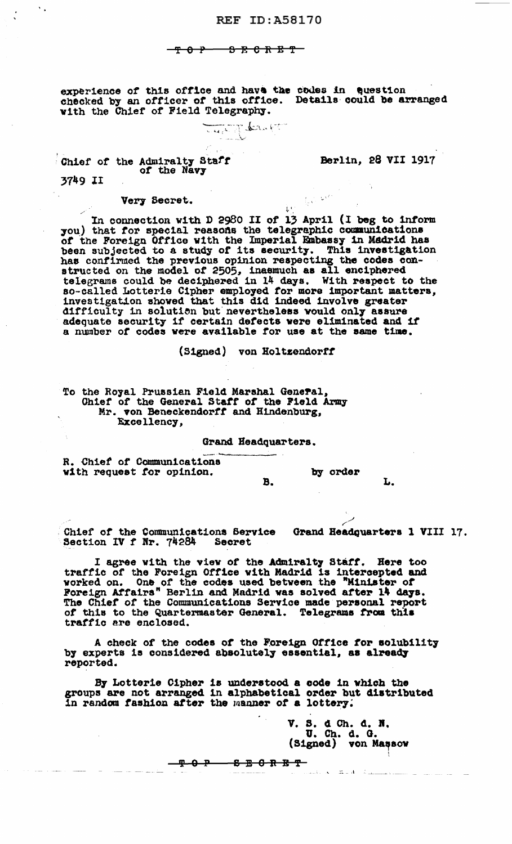<del>- 8 E C R E T -</del>  $-$ <del>T 0 P  $-$ </del>

experience of this office and have the codes in Question checked by an officer of this office. Details could be arranged with the Chief of Field Telegraphy.

Thered of the

Chief of the Admiralty Staff

Berlin, 28 VII 1917

 $\int_{\mathbb{R}^d} \sqrt{1-\frac{1}{2} \left|\mathbf{x}\right|^{2/3}} \, \mathrm{d}\mathbf{x}$ 

 $\mathbf{L}^{\mathbf{t}}$ 

3749 II

 $\mathbf{v}_{\rm{in}}$ 

Very Secret.

In connection with D 2980 II of 13 April (I beg to inform<br>you) that for special reasons the telegraphic communications of the Foreign Office with the Imperial Embassy in Madrid has been subjected to a study of its security. This investigation has confirmed the previous opinion respecting the codes constructed on the model of 2505, inasmuch as all enciphered telegrams could be deciphered in 14 days. With respect to the so-called Lotterie Cipher employed for more important matters, investigation showed that this did indeed involve greater difficulty in solution but nevertheless would only assure adequate security if certain defects were eliminated and if a number of codes were available for use at the same time.

(Signed) von Holtzendorff

To the Royal Prussian Field Marshal General, Chief of the General Staff of the Field Army Mr. von Beneckendorff and Hindenburg, Excellency,

Grand Headquarters.

R. Chief of Communications with request for opinion.

by order

L.

Chief of the Communications Service Grand Headquarters 1 VIII 17. Section IV f Nr. 74284 Secret

 $B<sub>1</sub>$ 

I agree with the view of the Admiralty Staff. Here too traffic of the Foreign Office with Madrid is intercepted and worked on. One of the codes used between the "Minister of Foreign Affairs" Berlin and Madrid was solved after 14 days. The Chief of the Communications Service ma of this to the Quartermaster General. Telegrams from this traffic are enclosed.

A check of the codes of the Foreign Office for solubility<br>by experts is considered absolutely essential, as already reported.

By Lotterie Cipher is understood a code in which the groups are not arranged in alphabetical order but distributed in random fashion after the manner of a lottery.

V. S. d Ch. d. N. U. Ch. d. G. (Signed) von Massow

canto is a manifest of the manager

<del>- 2 5 6 R B T</del> <u>ዋዕዋ</u>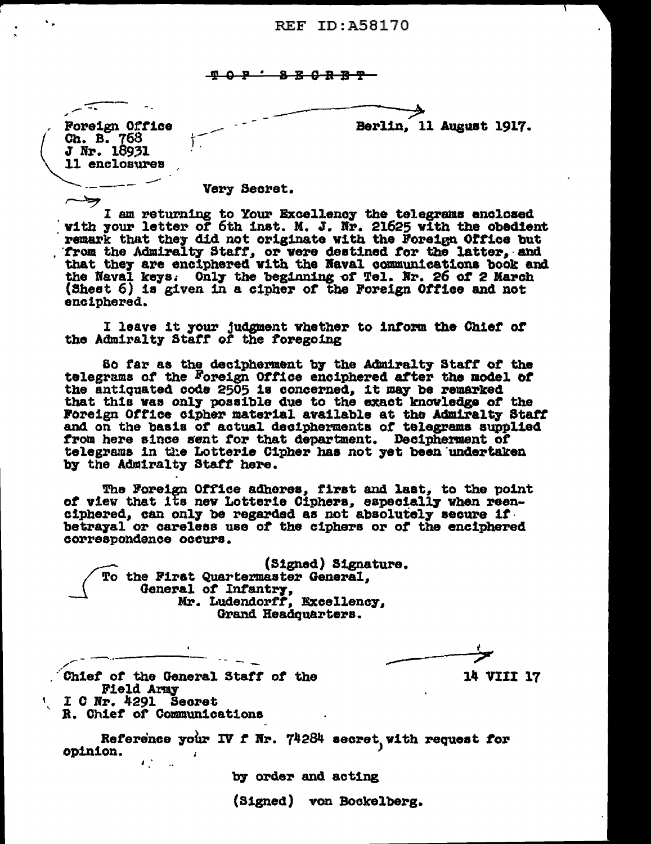**TOP SECRBT** 

Foreign Office Ch. B. 768 J Nr. 18931 11 enclosures

Berlin, 11 August 1917.

Very Secret.

I am returning to Your Excellency the telegrams enclosed<br>with your letter of 6th inst. M. J. Nr. 21625 with the obedient remark that they did not originate with the Foreign Office but from the Admiralty Staff, or were destined for the latter, and<br>that they are enciphered with the Naval communications book and<br>the Naval keys. Only the beginning of Tel. Nr. 26 of 2 March<br>(Sheet 6) is given in a cipher of enciphered.

I leave it your judgment whether to inform the Chief of the Admiralty Staff of the foregoing

So far as the decipherment by the Admiralty Staff of the telegrams of the Foreign Office enciphered after the model of the antiquated code 2505 is concerned, it may be remarked that this was only possible due to the exact knowledge of the Foreign Office cipher material available at the Admiralty Staff and on the basis of actual decipherments of telegrams supplied from here since sent for that department. Decipherment of telegrams in the Lotterie Cipher has not yet been undertaken by the Admiralty Staff here.

The Foreign Office adheres, first and last, to the point of view that its new Lotterie Ciphers, especially when reenciphered, can only be regarded as not absolutely secure if. betrayal or careless use of the ciphers or of the enciphered correspondence occurs.

(Signed) Signature. To the First Quartermaster General. General of Infantry, Excellency, Mr. Ludendorff, Excellency, Grand Headquarters.

14 VIII 17

Chief of the General Staff of the Field Army I C Nr. 4291 Secret

R. Chief of Communications

Reference your IV f Nr. 74284 secret, with request for opinion.  $\mathbf{A}^{\text{obs}}_{\text{max}}$ 

by order and acting

(Signed) von Bockelberg.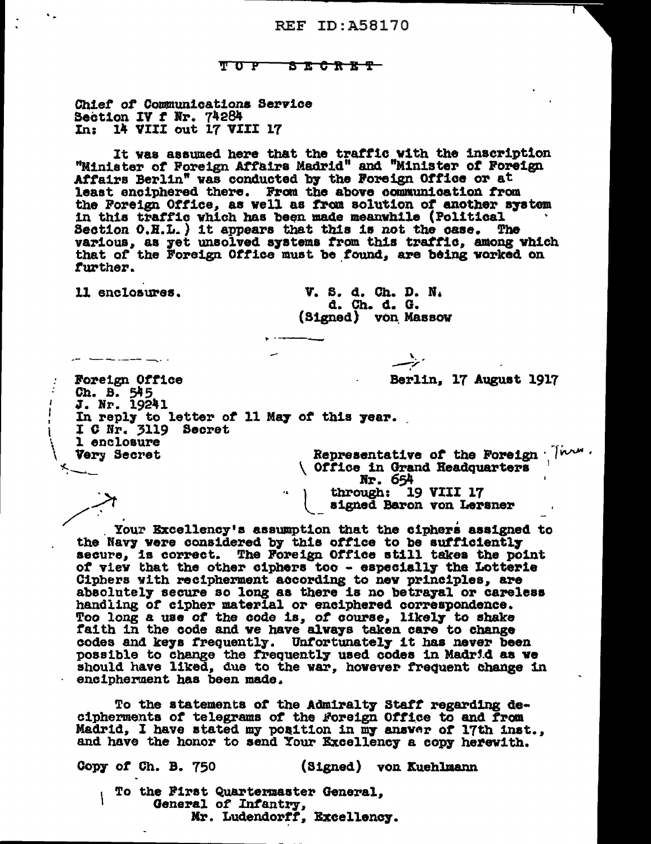#### $\mathbf{T}$   $\mathbf{C}$   $\mathbf{P}$ <del>ያ ጀ ሮ ጽ ፳ ሞ</del>

Chief of Communications Service Section IV f Nr. 74284<br>In: 14 VIII out 17 VIII 17

It was assumed here that the traffic with the inscription "Minister of Foreign Affairs Madrid" and "Minister of Foreign Affairs Berlin" was conducted by the Foreign Office or at least enciphered there. From the above communication from the Foreign Office, as well as from solution of another system in this traffic which has been made meanwhile (Political Section 0.H.L.) it appears that this is not the case. The various, as yet unsolved systems from this traffic, among which that of the Foreign Office must be found, are being worked on further.

11 enclosures.

- <del>- - - - - - - - -</del> - -

V. S. d. Ch. D. N. d. Ch. d. G. (Signed) von Massow

Nr. 654

through: 19 VIII 17 signed Baron von Lersner

Berlin, 17 August 1917

Foreign Office Ch. B. 545 J. Nr. 19241 In reply to letter of 11 May of this year. I C Nr. 3119 Secret 1 enclosure Representative of the Foreign Them. Very Secret Office in Grand Headquarters

Your Excellency's assumption that the ciphers assigned to the Navy were considered by this office to be sufficiently secure, is correct. The Foreign Office still takes the point of view that the other ciphers too - especially the Lotterie Ciphers with recipherment according to new principles, are absolutely secure so long as there is no betrayal or careless handling of cipher material or enciphered correspondence. Too long a use of the code is, of course, likely to shake faith in the code and we have always taken care to change codes and keys frequently. Unfortunately it has never been possible to change the frequently used codes in Madrid as we should have liked, due to the war, however frequent change in encipherment has been made.

To the statements of the Admiralty Staff regarding decipherments of telegrams of the Foreign Office to and from Madrid, I have stated my position in my answer of 17th inst., and have the honor to send Your Excellency a copy herewith.

Copy of Ch. B. 750 (Signed) von Kuchlmann To the First Quartermaster General, ١ General of Infantry,

Mr. Ludendorff, Excellency.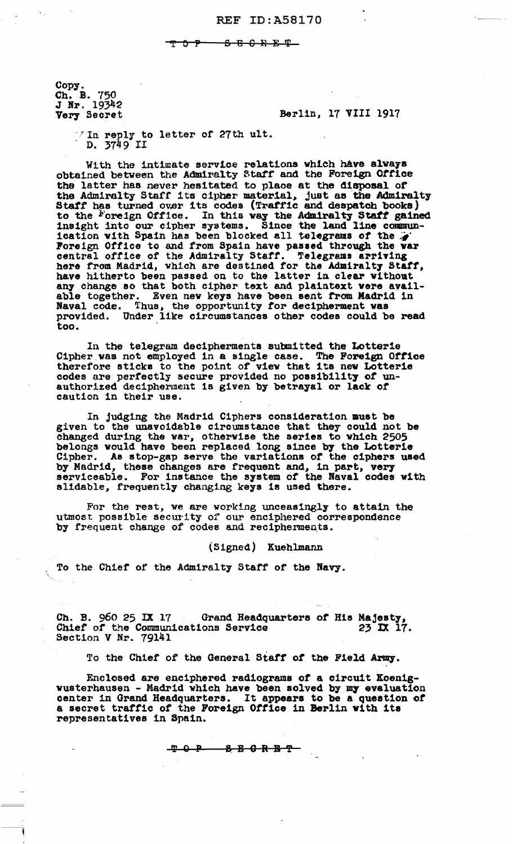<del>8 B C R B T -</del> <u>ጥ ዕ ም</u>

Copy. Ch. B. 750<br>J Nr. 19342<br>Very Secret

Berlin, 17 VIII 1917

/ In reply to letter of 27th ult.<br>D. 3749 II

With the intimate service relations which have always obtained between the Admiralty Staff and the Foreign Office<br>the latter has never hesitated to place at the disposal of<br>the Admiralty Staff its cipher material, just as the Admiralty<br>Staff has turned over its codes (Traffic to the Foreign Office. In this way the Admiralty Staff gained<br>insight into our cipher systems. Since the land line commun-<br>ication with Spain has been blocked all telegrams of the  $\ddot{\phi}$ Foreign Office to and from Spain have passed through the war<br>central office of the Admiralty Staff. Telegrams arriving<br>here from Madrid, which are destined for the Admiralty Staff, have hitherto been passed on to the latter in clear without any change so that both cipher text and plaintext were available together. Even new keys have been sent from Madrid in Naval code. Thus, the opportunity for decipherment was provided. Under like circumstances other codes could be read too.

In the telegram decipherments submitted the Lotterie Cipher was not employed in a single case. The Foreign Office<br>therefore sticks to the point of view that its new Lotterie<br>codes are perfectly secure provided no possibility of un-<br>authorized decipherment is given by betraya caution in their use.

In judging the Madrid Ciphers consideration must be given to the unavoidable circumstance that they could not be changed during the war, otherwise the series to which 2505 belongs would have been replaced long since by the Lotterie Cipher. As stop-gap serve the variations of the ciphers used by Madrid, these changes are frequent and, in part, very serviceable. For instance the system of the Naval codes with slidable, frequently changing keys is used there.

For the rest, we are working unceasingly to attain the utmost possible security of our enciphered correspondence<br>by frequent change of codes and recipherments.

## (Signed) Kuehlmann

To the Chief of the Admiralty Staff of the Navy.

Ch. B. 960 25 IX 17 Grand Headquarters of His Majesty, Chief of the Communications Service 23 IX 17. Section V Nr. 79141

To the Chief of the General Staff of the Field Army.

Enclosed are enciphered radiograms of a circuit Koenigwusterhausen - Madrid which have been solved by my evaluation center in Grand Headquarters. It appears to be a question of a secret traffic of the Foreign Office in Berlin with its representatives in Spain.

$$
\begin{array}{cccc}\n\textbf{P} & \textbf{Q} & \textbf{P} & \textbf{S} & \textbf{E} & \textbf{G} & \textbf{R} & \textbf{B} & \textbf{T}\n\end{array}
$$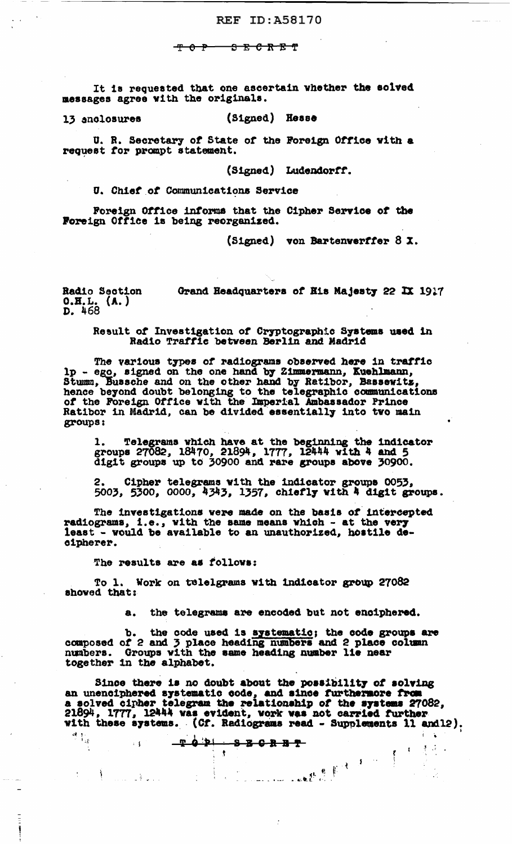#### <del>ያጀርክ</del>

It is requested that one ascertain whether the solved messages agree with the originals.

(Signed) Hesse 13 anclosures

U. R. Secretary of State of the Foreign Office with a request for prompt statement.

(Signed) Ludendorff.

U. Chief of Communications Service

Foreign Office informs that the Cipher Service of the Foreign Office is being reorganized.

(Signed) von Bartenverffer 8 X.

Radio Section Grand Headquarters of His Majesty 22 IX 1917  $0.H.L. (A.)$ <br>D. 468

Result of Investigation of Cryptographic Systems used in Radio Traffic between Berlin and Madrid

The various types of radiograms observed here in traffic<br>lp - ego, signed on the one hand by Zimmermann, Kuehlmann,<br>Stumm, Bussehe and on the other hand by Ratibor, Bassewitz, hence beyond doubt belonging to the telegraphic communications of the Foreign Office with the Imperial Ambassador Prince Ratibor in Madrid, can be divided essentially into two main groups:

1. Telegrams which have at the beginning the indicator groups 27082, 18470, 21894, 1777, 12444 with 4 and 5 digit groups up to 30900 and rare groups above 30900.

2. Cipher telegrams with the indicator groups 0053,<br>5003, 5300, 0000, 4343, 1357, chiefly with 4 digit groups.

The investigations were made on the basis of intercepted radiograms, i.e., with the same means which - at the very least - would be available to an unauthorized, hostile decipherer.

The results are as follows:

 $\pm$  1

To 1. 1<br>showed that: Work on telelgrams with indicator group 27082

a. the telegrams are encoded but not enciphered.

b. the code used is systematic; the code groups are composed of 2 and 3 place heading numbers and 2 place column numbers. Groups with the same heading number lie near together in the alphabet.

Since there is no doubt about the possibility of solving an unenciphered systematic code, and since furthermore from<br>a solved cipher telegram the relationship of the systems 27082,<br>21894, 1777, 12444 was evident, vork was not carried further<br>with these systems. (Cf. Radiograms r 就<br>了1<sub>5</sub>

 $\{ \gamma_{\alpha} \}_{\alpha \in \mathbb{N}}$  .

 $\mathcal{A}^{\mathcal{A}}$ 

 $\sum_{i=1}^{n}$ 

| <u> ዋይነ ይይይይት</u><br>, |  |                                        |  |
|------------------------|--|----------------------------------------|--|
|                        |  |                                        |  |
|                        |  | And the summer with the set of the set |  |
|                        |  |                                        |  |
|                        |  |                                        |  |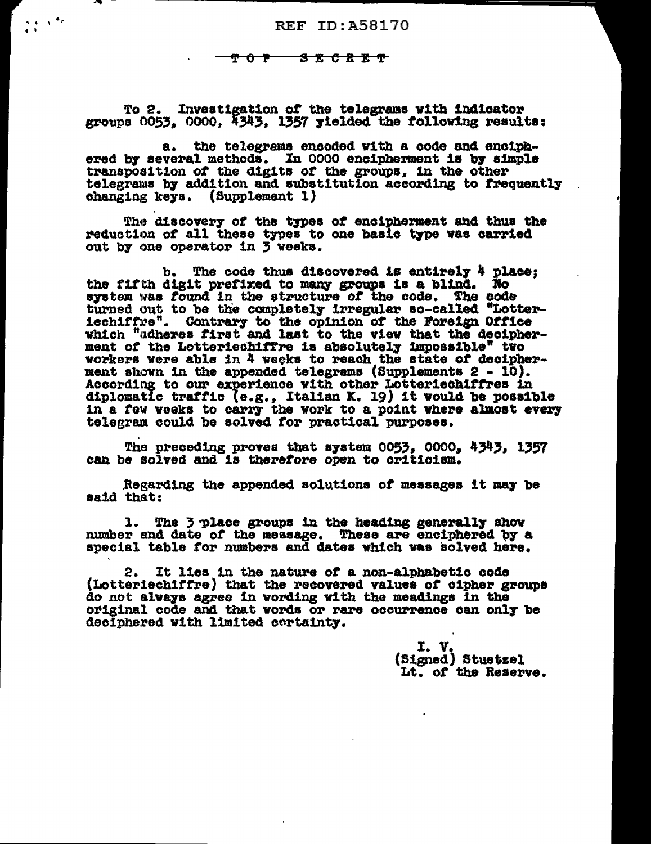<u>S C R E T</u>  $\sigma$   $\tau$   $\sim$ 

 $\frac{1}{4} \left( \frac{1}{2} - \frac{1}{2} \right)^{-\frac{1}{2}}$ 

To 2. Investigation of the telegrams with indicator groups 0053, 0000, 4343, 1357 yielded the following results:

the telegrams encoded with a code and enciphа. ered by several methods. In 0000 encipherment is by simple transposition of the digits of the groups, in the other telegrams by addition and substitution according to frequently changing keys. (Supplement 1)

The discovery of the types of encipherment and thus the reduction of all these types to one basic type was carried out by one operator in 3 weeks.

The code thus discovered is entirely 4 place; ъ. the fifth digit prefixed to many groups is a blind. No system was found in the structure of the code. The code turned out to be the completely irregular so-called "Lotter-<br>iechiffre". Contrary to the opinion of the Foreign Office<br>which "adheres first and last to the view that the decipherment of the Lotteriechiffre is absolutely impossible" two workers were able in 4 weeks to reach the state of decipherment shown in the appended telegrams (Supplements 2 - 10). According to our experience with other Lotteriechiffres in diplomatic traffic (e.g., Italian K. 19) it would be possible in a few weeks to carry the work to a point where almost every telegram could be solved for practical purposes.

The preceding proves that system 0053, 0000, 4343, 1357 can be solved and is therefore open to criticism.

Regarding the appended solutions of messages it may be said that:

1. The 3 place groups in the heading generally show number and date of the message. These are enciphered by a special table for numbers and dates which was solved here.

It lies in the nature of a non-alphabetic code 2. (Lotteriechiffre) that the recovered values of cipher groups do not always agree in wording with the meadings in the original code and that words or rare occurrence can only be deciphered with limited certainty.

> I. V.<br>(Signed) Stuetzel Lt. of the Reserve.